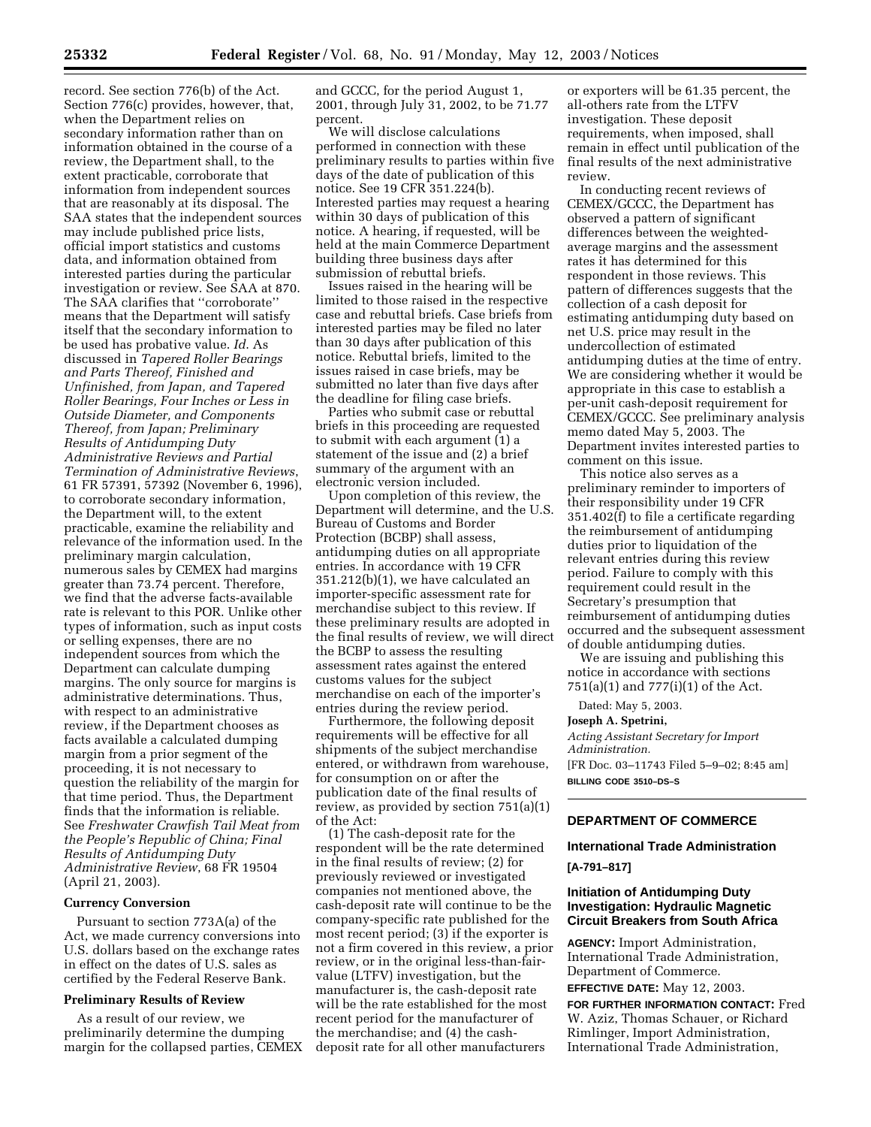record. See section 776(b) of the Act. Section 776(c) provides, however, that, when the Department relies on secondary information rather than on information obtained in the course of a review, the Department shall, to the extent practicable, corroborate that information from independent sources that are reasonably at its disposal. The SAA states that the independent sources may include published price lists, official import statistics and customs data, and information obtained from interested parties during the particular investigation or review. See SAA at 870. The SAA clarifies that ''corroborate'' means that the Department will satisfy itself that the secondary information to be used has probative value. *Id*. As discussed in *Tapered Roller Bearings and Parts Thereof, Finished and Unfinished, from Japan, and Tapered Roller Bearings, Four Inches or Less in Outside Diameter, and Components Thereof, from Japan; Preliminary Results of Antidumping Duty Administrative Reviews and Partial Termination of Administrative Reviews*, 61 FR 57391, 57392 (November 6, 1996), to corroborate secondary information, the Department will, to the extent practicable, examine the reliability and relevance of the information used. In the preliminary margin calculation, numerous sales by CEMEX had margins greater than 73.74 percent. Therefore, we find that the adverse facts-available rate is relevant to this POR. Unlike other types of information, such as input costs or selling expenses, there are no independent sources from which the Department can calculate dumping margins. The only source for margins is administrative determinations. Thus, with respect to an administrative review, if the Department chooses as facts available a calculated dumping margin from a prior segment of the proceeding, it is not necessary to question the reliability of the margin for that time period. Thus, the Department finds that the information is reliable. See *Freshwater Crawfish Tail Meat from the People's Republic of China; Final Results of Antidumping Duty Administrative Review*, 68 FR 19504 (April 21, 2003).

#### **Currency Conversion**

Pursuant to section 773A(a) of the Act, we made currency conversions into U.S. dollars based on the exchange rates in effect on the dates of U.S. sales as certified by the Federal Reserve Bank.

## **Preliminary Results of Review**

As a result of our review, we preliminarily determine the dumping margin for the collapsed parties, CEMEX and GCCC, for the period August 1, 2001, through July 31, 2002, to be 71.77 percent.

We will disclose calculations performed in connection with these preliminary results to parties within five days of the date of publication of this notice. See 19 CFR 351.224(b). Interested parties may request a hearing within 30 days of publication of this notice. A hearing, if requested, will be held at the main Commerce Department building three business days after submission of rebuttal briefs.

Issues raised in the hearing will be limited to those raised in the respective case and rebuttal briefs. Case briefs from interested parties may be filed no later than 30 days after publication of this notice. Rebuttal briefs, limited to the issues raised in case briefs, may be submitted no later than five days after the deadline for filing case briefs.

Parties who submit case or rebuttal briefs in this proceeding are requested to submit with each argument (1) a statement of the issue and (2) a brief summary of the argument with an electronic version included.

Upon completion of this review, the Department will determine, and the U.S. Bureau of Customs and Border Protection (BCBP) shall assess, antidumping duties on all appropriate entries. In accordance with 19 CFR 351.212(b)(1), we have calculated an importer-specific assessment rate for merchandise subject to this review. If these preliminary results are adopted in the final results of review, we will direct the BCBP to assess the resulting assessment rates against the entered customs values for the subject merchandise on each of the importer's entries during the review period.

Furthermore, the following deposit requirements will be effective for all shipments of the subject merchandise entered, or withdrawn from warehouse, for consumption on or after the publication date of the final results of review, as provided by section 751(a)(1) of the Act:

(1) The cash-deposit rate for the respondent will be the rate determined in the final results of review; (2) for previously reviewed or investigated companies not mentioned above, the cash-deposit rate will continue to be the company-specific rate published for the most recent period; (3) if the exporter is not a firm covered in this review, a prior review, or in the original less-than-fairvalue (LTFV) investigation, but the manufacturer is, the cash-deposit rate will be the rate established for the most recent period for the manufacturer of the merchandise; and (4) the cashdeposit rate for all other manufacturers

or exporters will be 61.35 percent, the all-others rate from the LTFV investigation. These deposit requirements, when imposed, shall remain in effect until publication of the final results of the next administrative review.

In conducting recent reviews of CEMEX/GCCC, the Department has observed a pattern of significant differences between the weightedaverage margins and the assessment rates it has determined for this respondent in those reviews. This pattern of differences suggests that the collection of a cash deposit for estimating antidumping duty based on net U.S. price may result in the undercollection of estimated antidumping duties at the time of entry. We are considering whether it would be appropriate in this case to establish a per-unit cash-deposit requirement for CEMEX/GCCC. See preliminary analysis memo dated May 5, 2003. The Department invites interested parties to comment on this issue.

This notice also serves as a preliminary reminder to importers of their responsibility under 19 CFR 351.402(f) to file a certificate regarding the reimbursement of antidumping duties prior to liquidation of the relevant entries during this review period. Failure to comply with this requirement could result in the Secretary's presumption that reimbursement of antidumping duties occurred and the subsequent assessment of double antidumping duties.

We are issuing and publishing this notice in accordance with sections 751(a)(1) and 777(i)(1) of the Act.

Dated: May 5, 2003.

#### **Joseph A. Spetrini,**

*Acting Assistant Secretary for Import Administration.* [FR Doc. 03–11743 Filed 5–9–02; 8:45 am] **BILLING CODE 3510–DS–S**

## **DEPARTMENT OF COMMERCE**

#### **International Trade Administration**

#### **[A-791–817]**

## **Initiation of Antidumping Duty Investigation: Hydraulic Magnetic Circuit Breakers from South Africa**

**AGENCY:** Import Administration, International Trade Administration, Department of Commerce.

**EFFECTIVE DATE:** May 12, 2003.

**FOR FURTHER INFORMATION CONTACT:** Fred W. Aziz, Thomas Schauer, or Richard Rimlinger, Import Administration, International Trade Administration,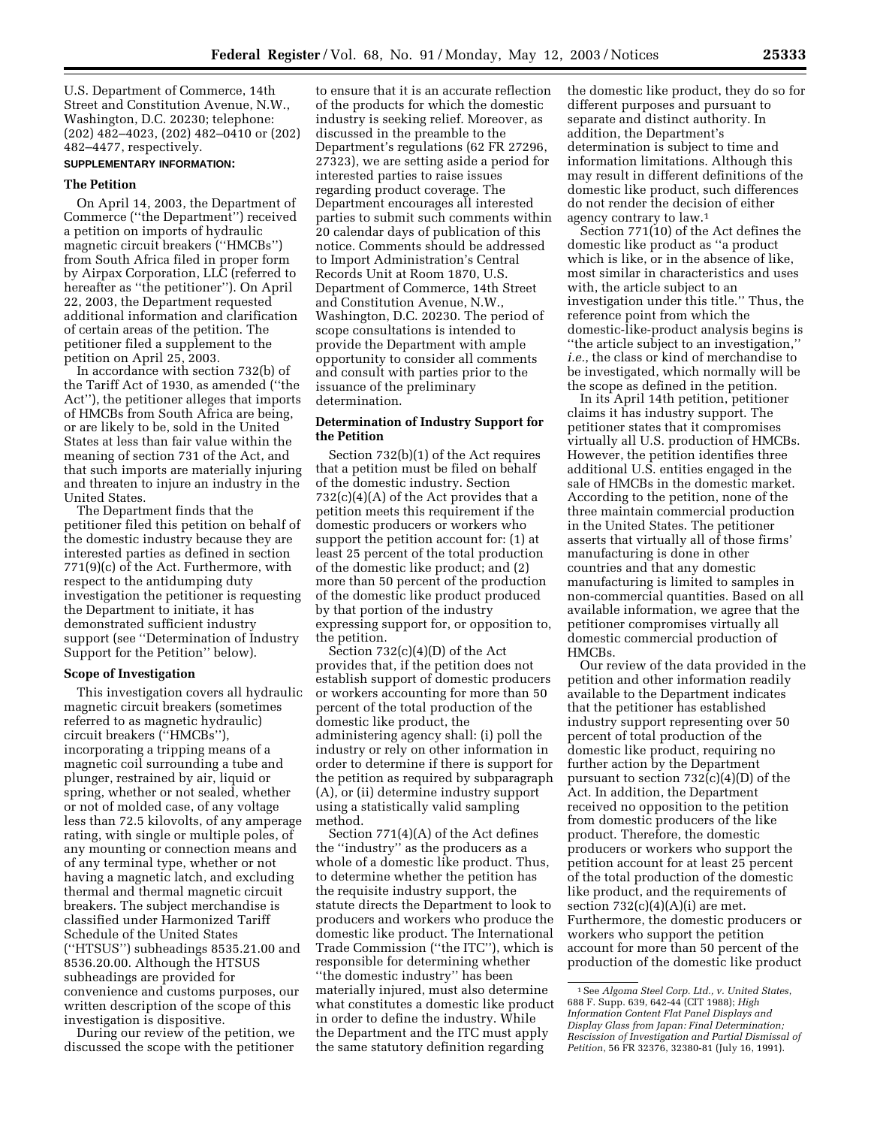U.S. Department of Commerce, 14th Street and Constitution Avenue, N.W., Washington, D.C. 20230; telephone: (202) 482–4023, (202) 482–0410 or (202) 482–4477, respectively.

## **SUPPLEMENTARY INFORMATION:**

# **The Petition**

On April 14, 2003, the Department of Commerce (''the Department'') received a petition on imports of hydraulic magnetic circuit breakers (''HMCBs'') from South Africa filed in proper form by Airpax Corporation, LLC (referred to hereafter as ''the petitioner''). On April 22, 2003, the Department requested additional information and clarification of certain areas of the petition. The petitioner filed a supplement to the petition on April 25, 2003.

In accordance with section 732(b) of the Tariff Act of 1930, as amended (''the Act''), the petitioner alleges that imports of HMCBs from South Africa are being, or are likely to be, sold in the United States at less than fair value within the meaning of section 731 of the Act, and that such imports are materially injuring and threaten to injure an industry in the United States.

The Department finds that the petitioner filed this petition on behalf of the domestic industry because they are interested parties as defined in section 771(9)(c) of the Act. Furthermore, with respect to the antidumping duty investigation the petitioner is requesting the Department to initiate, it has demonstrated sufficient industry support (see ''Determination of Industry Support for the Petition'' below).

#### **Scope of Investigation**

This investigation covers all hydraulic magnetic circuit breakers (sometimes referred to as magnetic hydraulic) circuit breakers (''HMCBs''), incorporating a tripping means of a magnetic coil surrounding a tube and plunger, restrained by air, liquid or spring, whether or not sealed, whether or not of molded case, of any voltage less than 72.5 kilovolts, of any amperage rating, with single or multiple poles, of any mounting or connection means and of any terminal type, whether or not having a magnetic latch, and excluding thermal and thermal magnetic circuit breakers. The subject merchandise is classified under Harmonized Tariff Schedule of the United States (''HTSUS'') subheadings 8535.21.00 and 8536.20.00. Although the HTSUS subheadings are provided for convenience and customs purposes, our written description of the scope of this investigation is dispositive.

During our review of the petition, we discussed the scope with the petitioner

to ensure that it is an accurate reflection of the products for which the domestic industry is seeking relief. Moreover, as discussed in the preamble to the Department's regulations (62 FR 27296, 27323), we are setting aside a period for interested parties to raise issues regarding product coverage. The Department encourages all interested parties to submit such comments within 20 calendar days of publication of this notice. Comments should be addressed to Import Administration's Central Records Unit at Room 1870, U.S. Department of Commerce, 14th Street and Constitution Avenue, N.W., Washington, D.C. 20230. The period of scope consultations is intended to provide the Department with ample opportunity to consider all comments and consult with parties prior to the issuance of the preliminary determination.

## **Determination of Industry Support for the Petition**

Section 732(b)(1) of the Act requires that a petition must be filed on behalf of the domestic industry. Section  $732(c)(4)(A)$  of the Act provides that a petition meets this requirement if the domestic producers or workers who support the petition account for: (1) at least 25 percent of the total production of the domestic like product; and (2) more than 50 percent of the production of the domestic like product produced by that portion of the industry expressing support for, or opposition to, the petition.

Section 732(c)(4)(D) of the Act provides that, if the petition does not establish support of domestic producers or workers accounting for more than 50 percent of the total production of the domestic like product, the administering agency shall: (i) poll the industry or rely on other information in order to determine if there is support for the petition as required by subparagraph (A), or (ii) determine industry support using a statistically valid sampling method.

Section 771(4)(A) of the Act defines the ''industry'' as the producers as a whole of a domestic like product. Thus, to determine whether the petition has the requisite industry support, the statute directs the Department to look to producers and workers who produce the domestic like product. The International Trade Commission (''the ITC''), which is responsible for determining whether ''the domestic industry'' has been materially injured, must also determine what constitutes a domestic like product in order to define the industry. While the Department and the ITC must apply the same statutory definition regarding

the domestic like product, they do so for different purposes and pursuant to separate and distinct authority. In addition, the Department's determination is subject to time and information limitations. Although this may result in different definitions of the domestic like product, such differences do not render the decision of either agency contrary to law.1

Section 771(10) of the Act defines the domestic like product as ''a product which is like, or in the absence of like, most similar in characteristics and uses with, the article subject to an investigation under this title.'' Thus, the reference point from which the domestic-like-product analysis begins is ''the article subject to an investigation,'' *i.e.*, the class or kind of merchandise to be investigated, which normally will be the scope as defined in the petition.

In its April 14th petition, petitioner claims it has industry support. The petitioner states that it compromises virtually all U.S. production of HMCBs. However, the petition identifies three additional U.S. entities engaged in the sale of HMCBs in the domestic market. According to the petition, none of the three maintain commercial production in the United States. The petitioner asserts that virtually all of those firms' manufacturing is done in other countries and that any domestic manufacturing is limited to samples in non-commercial quantities. Based on all available information, we agree that the petitioner compromises virtually all domestic commercial production of HMCBs.

Our review of the data provided in the petition and other information readily available to the Department indicates that the petitioner has established industry support representing over 50 percent of total production of the domestic like product, requiring no further action by the Department pursuant to section  $732(c)(4)(D)$  of the Act. In addition, the Department received no opposition to the petition from domestic producers of the like product. Therefore, the domestic producers or workers who support the petition account for at least 25 percent of the total production of the domestic like product, and the requirements of section  $732(c)(4)(A)(i)$  are met. Furthermore, the domestic producers or workers who support the petition account for more than 50 percent of the production of the domestic like product

<sup>1</sup>See *Algoma Steel Corp. Ltd., v. United States*, 688 F. Supp. 639, 642-44 (CIT 1988); *High Information Content Flat Panel Displays and Display Glass from Japan: Final Determination; Rescission of Investigation and Partial Dismissal of Petition*, 56 FR 32376, 32380-81 (July 16, 1991).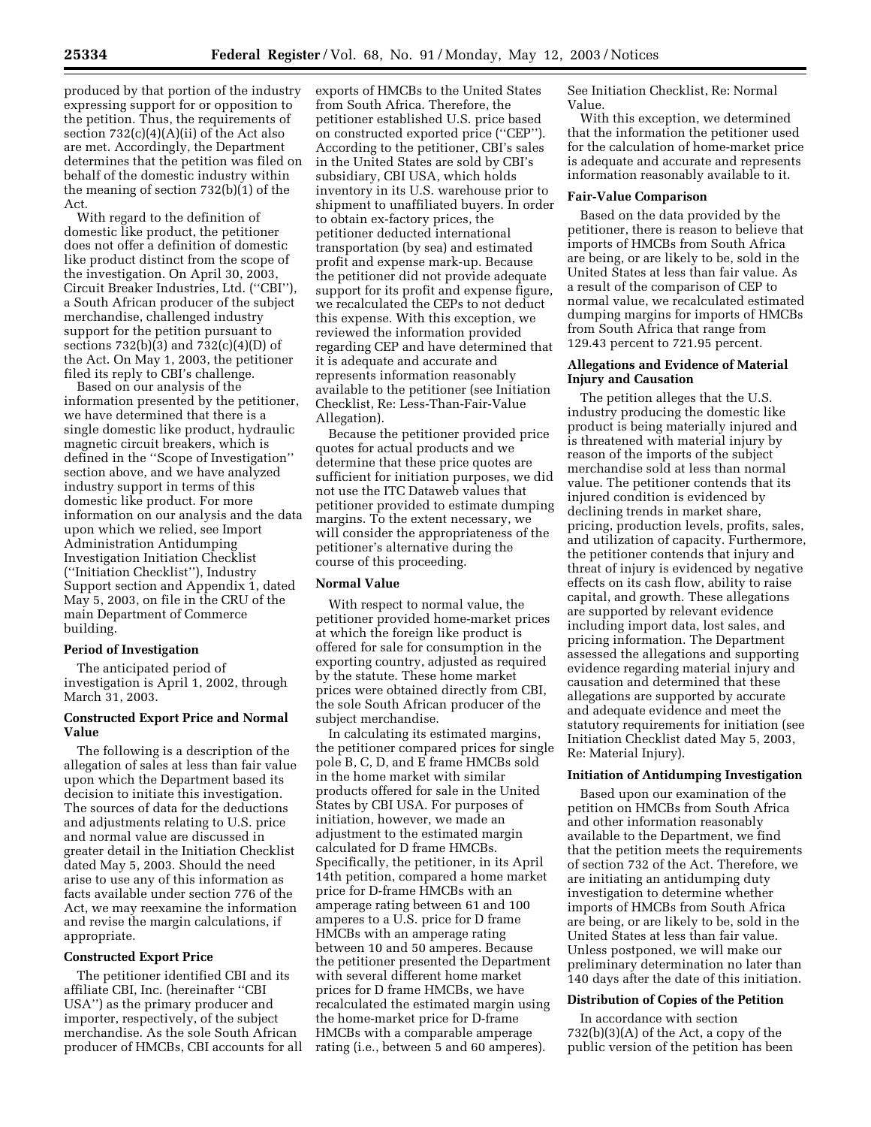produced by that portion of the industry expressing support for or opposition to the petition. Thus, the requirements of section 732(c)(4)(A)(ii) of the Act also are met. Accordingly, the Department determines that the petition was filed on behalf of the domestic industry within the meaning of section 732(b)(1) of the Act.

With regard to the definition of domestic like product, the petitioner does not offer a definition of domestic like product distinct from the scope of the investigation. On April 30, 2003, Circuit Breaker Industries, Ltd. (''CBI''), a South African producer of the subject merchandise, challenged industry support for the petition pursuant to sections  $732(b)(3)$  and  $732(c)(4)(D)$  of the Act. On May 1, 2003, the petitioner filed its reply to CBI's challenge.

Based on our analysis of the information presented by the petitioner, we have determined that there is a single domestic like product, hydraulic magnetic circuit breakers, which is defined in the ''Scope of Investigation'' section above, and we have analyzed industry support in terms of this domestic like product. For more information on our analysis and the data upon which we relied, see Import Administration Antidumping Investigation Initiation Checklist (''Initiation Checklist''), Industry Support section and Appendix 1, dated May 5, 2003, on file in the CRU of the main Department of Commerce building.

# **Period of Investigation**

The anticipated period of investigation is April 1, 2002, through March 31, 2003.

# **Constructed Export Price and Normal Value**

The following is a description of the allegation of sales at less than fair value upon which the Department based its decision to initiate this investigation. The sources of data for the deductions and adjustments relating to U.S. price and normal value are discussed in greater detail in the Initiation Checklist dated May 5, 2003. Should the need arise to use any of this information as facts available under section 776 of the Act, we may reexamine the information and revise the margin calculations, if appropriate.

### **Constructed Export Price**

The petitioner identified CBI and its affiliate CBI, Inc. (hereinafter ''CBI USA'') as the primary producer and importer, respectively, of the subject merchandise. As the sole South African producer of HMCBs, CBI accounts for all exports of HMCBs to the United States from South Africa. Therefore, the petitioner established U.S. price based on constructed exported price (''CEP''). According to the petitioner, CBI's sales in the United States are sold by CBI's subsidiary, CBI USA, which holds inventory in its U.S. warehouse prior to shipment to unaffiliated buyers. In order to obtain ex-factory prices, the petitioner deducted international transportation (by sea) and estimated profit and expense mark-up. Because the petitioner did not provide adequate support for its profit and expense figure, we recalculated the CEPs to not deduct this expense. With this exception, we reviewed the information provided regarding CEP and have determined that it is adequate and accurate and represents information reasonably available to the petitioner (see Initiation Checklist, Re: Less-Than-Fair-Value Allegation).

Because the petitioner provided price quotes for actual products and we determine that these price quotes are sufficient for initiation purposes, we did not use the ITC Dataweb values that petitioner provided to estimate dumping margins. To the extent necessary, we will consider the appropriateness of the petitioner's alternative during the course of this proceeding.

#### **Normal Value**

With respect to normal value, the petitioner provided home-market prices at which the foreign like product is offered for sale for consumption in the exporting country, adjusted as required by the statute. These home market prices were obtained directly from CBI, the sole South African producer of the subject merchandise.

In calculating its estimated margins, the petitioner compared prices for single pole B, C, D, and E frame HMCBs sold in the home market with similar products offered for sale in the United States by CBI USA. For purposes of initiation, however, we made an adjustment to the estimated margin calculated for D frame HMCBs. Specifically, the petitioner, in its April 14th petition, compared a home market price for D-frame HMCBs with an amperage rating between 61 and 100 amperes to a U.S. price for D frame HMCBs with an amperage rating between 10 and 50 amperes. Because the petitioner presented the Department with several different home market prices for D frame HMCBs, we have recalculated the estimated margin using the home-market price for D-frame HMCBs with a comparable amperage rating (i.e., between 5 and 60 amperes).

See Initiation Checklist, Re: Normal Value.

With this exception, we determined that the information the petitioner used for the calculation of home-market price is adequate and accurate and represents information reasonably available to it.

#### **Fair-Value Comparison**

Based on the data provided by the petitioner, there is reason to believe that imports of HMCBs from South Africa are being, or are likely to be, sold in the United States at less than fair value. As a result of the comparison of CEP to normal value, we recalculated estimated dumping margins for imports of HMCBs from South Africa that range from 129.43 percent to 721.95 percent.

## **Allegations and Evidence of Material Injury and Causation**

The petition alleges that the U.S. industry producing the domestic like product is being materially injured and is threatened with material injury by reason of the imports of the subject merchandise sold at less than normal value. The petitioner contends that its injured condition is evidenced by declining trends in market share, pricing, production levels, profits, sales, and utilization of capacity. Furthermore, the petitioner contends that injury and threat of injury is evidenced by negative effects on its cash flow, ability to raise capital, and growth. These allegations are supported by relevant evidence including import data, lost sales, and pricing information. The Department assessed the allegations and supporting evidence regarding material injury and causation and determined that these allegations are supported by accurate and adequate evidence and meet the statutory requirements for initiation (see Initiation Checklist dated May 5, 2003, Re: Material Injury).

#### **Initiation of Antidumping Investigation**

Based upon our examination of the petition on HMCBs from South Africa and other information reasonably available to the Department, we find that the petition meets the requirements of section 732 of the Act. Therefore, we are initiating an antidumping duty investigation to determine whether imports of HMCBs from South Africa are being, or are likely to be, sold in the United States at less than fair value. Unless postponed, we will make our preliminary determination no later than 140 days after the date of this initiation.

## **Distribution of Copies of the Petition**

In accordance with section 732(b)(3)(A) of the Act, a copy of the public version of the petition has been